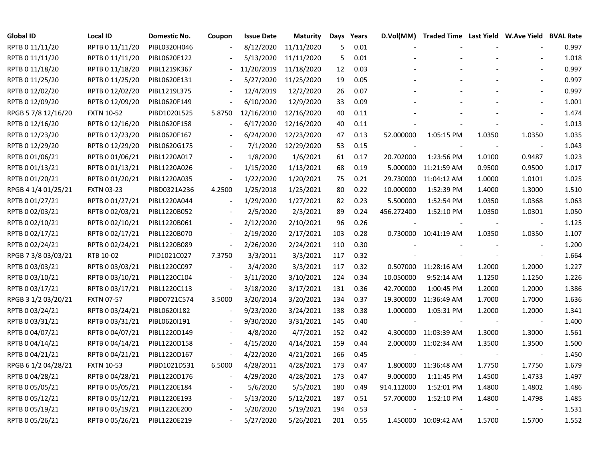| <b>Global ID</b>    | <b>Local ID</b>   | <b>Domestic No.</b> | Coupon                   | <b>Issue Date</b> | <b>Maturity</b> | Days | Years | D.Vol(MM)  | Traded Time Last Yield W.Ave Yield BVAL Rate |        |                          |       |
|---------------------|-------------------|---------------------|--------------------------|-------------------|-----------------|------|-------|------------|----------------------------------------------|--------|--------------------------|-------|
| RPTB 0 11/11/20     | RPTB 0 11/11/20   | PIBL0320H046        |                          | 8/12/2020         | 11/11/2020      | 5    | 0.01  |            |                                              |        |                          | 0.997 |
| RPTB 0 11/11/20     | RPTB 0 11/11/20   | PIBL0620E122        |                          | 5/13/2020         | 11/11/2020      | 5    | 0.01  |            |                                              |        |                          | 1.018 |
| RPTB 0 11/18/20     | RPTB 0 11/18/20   | PIBL1219K367        |                          | 11/20/2019        | 11/18/2020      | 12   | 0.03  |            |                                              |        |                          | 0.997 |
| RPTB 0 11/25/20     | RPTB 0 11/25/20   | PIBL0620E131        |                          | 5/27/2020         | 11/25/2020      | 19   | 0.05  |            |                                              |        |                          | 0.997 |
| RPTB 0 12/02/20     | RPTB 0 12/02/20   | PIBL1219L375        |                          | 12/4/2019         | 12/2/2020       | 26   | 0.07  |            |                                              |        |                          | 0.997 |
| RPTB 0 12/09/20     | RPTB 0 12/09/20   | PIBL0620F149        |                          | 6/10/2020         | 12/9/2020       | 33   | 0.09  |            |                                              |        |                          | 1.001 |
| RPGB 5 7/8 12/16/20 | <b>FXTN 10-52</b> | PIBD1020L525        | 5.8750                   | 12/16/2010        | 12/16/2020      | 40   | 0.11  |            |                                              |        |                          | 1.474 |
| RPTB 0 12/16/20     | RPTB 0 12/16/20   | PIBL0620F158        |                          | 6/17/2020         | 12/16/2020      | 40   | 0.11  |            |                                              |        |                          | 1.013 |
| RPTB 0 12/23/20     | RPTB 0 12/23/20   | PIBL0620F167        |                          | 6/24/2020         | 12/23/2020      | 47   | 0.13  | 52.000000  | 1:05:15 PM                                   | 1.0350 | 1.0350                   | 1.035 |
| RPTB 0 12/29/20     | RPTB 0 12/29/20   | PIBL0620G175        |                          | 7/1/2020          | 12/29/2020      | 53   | 0.15  |            |                                              |        |                          | 1.043 |
| RPTB 0 01/06/21     | RPTB 0 01/06/21   | PIBL1220A017        |                          | 1/8/2020          | 1/6/2021        | 61   | 0.17  | 20.702000  | 1:23:56 PM                                   | 1.0100 | 0.9487                   | 1.023 |
| RPTB 0 01/13/21     | RPTB 0 01/13/21   | PIBL1220A026        | $\overline{\phantom{a}}$ | 1/15/2020         | 1/13/2021       | 68   | 0.19  | 5.000000   | 11:21:59 AM                                  | 0.9500 | 0.9500                   | 1.017 |
| RPTB 0 01/20/21     | RPTB 0 01/20/21   | PIBL1220A035        | $\overline{\phantom{a}}$ | 1/22/2020         | 1/20/2021       | 75   | 0.21  |            | 29.730000 11:04:12 AM                        | 1.0000 | 1.0101                   | 1.025 |
| RPGB 4 1/4 01/25/21 | <b>FXTN 03-23</b> | PIBD0321A236        | 4.2500                   | 1/25/2018         | 1/25/2021       | 80   | 0.22  | 10.000000  | 1:52:39 PM                                   | 1.4000 | 1.3000                   | 1.510 |
| RPTB 0 01/27/21     | RPTB 0 01/27/21   | PIBL1220A044        |                          | 1/29/2020         | 1/27/2021       | 82   | 0.23  | 5.500000   | 1:52:54 PM                                   | 1.0350 | 1.0368                   | 1.063 |
| RPTB 0 02/03/21     | RPTB 0 02/03/21   | PIBL1220B052        |                          | 2/5/2020          | 2/3/2021        | 89   | 0.24  | 456.272400 | 1:52:10 PM                                   | 1.0350 | 1.0301                   | 1.050 |
| RPTB 0 02/10/21     | RPTB 0 02/10/21   | PIBL1220B061        |                          | 2/12/2020         | 2/10/2021       | 96   | 0.26  |            |                                              |        |                          | 1.125 |
| RPTB 0 02/17/21     | RPTB 0 02/17/21   | PIBL1220B070        | $\overline{\phantom{a}}$ | 2/19/2020         | 2/17/2021       | 103  | 0.28  |            | 0.730000 10:41:19 AM                         | 1.0350 | 1.0350                   | 1.107 |
| RPTB 002/24/21      | RPTB 0 02/24/21   | PIBL1220B089        | $\blacksquare$           | 2/26/2020         | 2/24/2021       | 110  | 0.30  |            |                                              |        |                          | 1.200 |
| RPGB 7 3/8 03/03/21 | RTB 10-02         | PIID1021C027        | 7.3750                   | 3/3/2011          | 3/3/2021        | 117  | 0.32  |            |                                              |        |                          | 1.664 |
| RPTB 0 03/03/21     | RPTB 0 03/03/21   | PIBL1220C097        | $\blacksquare$           | 3/4/2020          | 3/3/2021        | 117  | 0.32  |            | 0.507000 11:28:16 AM                         | 1.2000 | 1.2000                   | 1.227 |
| RPTB 0 03/10/21     | RPTB 0 03/10/21   | PIBL1220C104        | $\bar{\phantom{a}}$      | 3/11/2020         | 3/10/2021       | 124  | 0.34  | 10.050000  | 9:52:14 AM                                   | 1.1250 | 1.1250                   | 1.226 |
| RPTB 0 03/17/21     | RPTB 0 03/17/21   | PIBL1220C113        | $\blacksquare$           | 3/18/2020         | 3/17/2021       | 131  | 0.36  | 42.700000  | 1:00:45 PM                                   | 1.2000 | 1.2000                   | 1.386 |
| RPGB 3 1/2 03/20/21 | <b>FXTN 07-57</b> | PIBD0721C574        | 3.5000                   | 3/20/2014         | 3/20/2021       | 134  | 0.37  | 19.300000  | 11:36:49 AM                                  | 1.7000 | 1.7000                   | 1.636 |
| RPTB 0 03/24/21     | RPTB 0 03/24/21   | PIBL0620I182        | $\overline{\phantom{a}}$ | 9/23/2020         | 3/24/2021       | 138  | 0.38  | 1.000000   | 1:05:31 PM                                   | 1.2000 | 1.2000                   | 1.341 |
| RPTB 0 03/31/21     | RPTB 0 03/31/21   | PIBL0620I191        |                          | 9/30/2020         | 3/31/2021       | 145  | 0.40  | $\sim$     |                                              |        | $\overline{\phantom{a}}$ | 1.400 |
| RPTB 0 04/07/21     | RPTB 0 04/07/21   | PIBL1220D149        |                          | 4/8/2020          | 4/7/2021        | 152  | 0.42  |            | 4.300000 11:03:39 AM                         | 1.3000 | 1.3000                   | 1.561 |
| RPTB 0 04/14/21     | RPTB 0 04/14/21   | PIBL1220D158        |                          | 4/15/2020         | 4/14/2021       | 159  | 0.44  |            | 2.000000 11:02:34 AM                         | 1.3500 | 1.3500                   | 1.500 |
| RPTB 0 04/21/21     | RPTB 0 04/21/21   | PIBL1220D167        |                          | 4/22/2020         | 4/21/2021       | 166  | 0.45  |            |                                              |        |                          | 1.450 |
| RPGB 6 1/2 04/28/21 | <b>FXTN 10-53</b> | PIBD1021D531        | 6.5000                   | 4/28/2011         | 4/28/2021       | 173  | 0.47  |            | 1.800000 11:36:48 AM                         | 1.7750 | 1.7750                   | 1.679 |
| RPTB 0 04/28/21     | RPTB 0 04/28/21   | PIBL1220D176        | $\overline{\phantom{a}}$ | 4/29/2020         | 4/28/2021       | 173  | 0.47  | 9.000000   | 1:11:45 PM                                   | 1.4500 | 1.4733                   | 1.497 |
| RPTB 0 05/05/21     | RPTB 0 05/05/21   | PIBL1220E184        | $\overline{\phantom{a}}$ | 5/6/2020          | 5/5/2021        | 180  | 0.49  | 914.112000 | 1:52:01 PM                                   | 1.4800 | 1.4802                   | 1.486 |
| RPTB 0 05/12/21     | RPTB 0 05/12/21   | PIBL1220E193        |                          | 5/13/2020         | 5/12/2021       | 187  | 0.51  | 57.700000  | 1:52:10 PM                                   | 1.4800 | 1.4798                   | 1.485 |
| RPTB 0 05/19/21     | RPTB 0 05/19/21   | PIBL1220E200        |                          | 5/20/2020         | 5/19/2021       | 194  | 0.53  |            |                                              |        |                          | 1.531 |
| RPTB 0 05/26/21     | RPTB 0 05/26/21   | PIBL1220E219        |                          | 5/27/2020         | 5/26/2021       | 201  | 0.55  |            | 1.450000 10:09:42 AM                         | 1.5700 | 1.5700                   | 1.552 |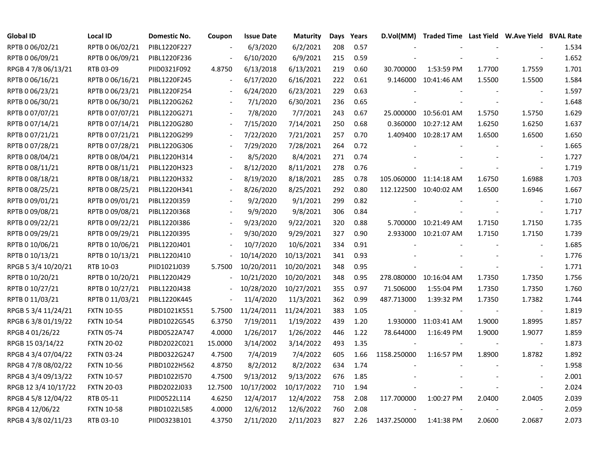| <b>Global ID</b>     | <b>Local ID</b>   | <b>Domestic No.</b> | Coupon                   | <b>Issue Date</b>     | <b>Maturity</b> | Days | Years |                          | D.Vol(MM) Traded Time Last Yield W.Ave Yield BVAL Rate |        |                          |       |
|----------------------|-------------------|---------------------|--------------------------|-----------------------|-----------------|------|-------|--------------------------|--------------------------------------------------------|--------|--------------------------|-------|
| RPTB 0 06/02/21      | RPTB 0 06/02/21   | PIBL1220F227        |                          | 6/3/2020              | 6/2/2021        | 208  | 0.57  |                          |                                                        |        |                          | 1.534 |
| RPTB 0 06/09/21      | RPTB 0 06/09/21   | PIBL1220F236        |                          | 6/10/2020             | 6/9/2021        | 215  | 0.59  |                          |                                                        |        |                          | 1.652 |
| RPGB 4 7/8 06/13/21  | RTB 03-09         | PIID0321F092        | 4.8750                   | 6/13/2018             | 6/13/2021       | 219  | 0.60  | 30.700000                | 1:53:59 PM                                             | 1.7700 | 1.7559                   | 1.701 |
| RPTB 0 06/16/21      | RPTB 0 06/16/21   | PIBL1220F245        |                          | 6/17/2020             | 6/16/2021       | 222  | 0.61  |                          | 9.146000 10:41:46 AM                                   | 1.5500 | 1.5500                   | 1.584 |
| RPTB 0 06/23/21      | RPTB 0 06/23/21   | PIBL1220F254        |                          | 6/24/2020             | 6/23/2021       | 229  | 0.63  |                          |                                                        |        | $\sim$                   | 1.597 |
| RPTB 0 06/30/21      | RPTB 0 06/30/21   | PIBL1220G262        | $\overline{\phantom{a}}$ | 7/1/2020              | 6/30/2021       | 236  | 0.65  |                          |                                                        |        | $\overline{\phantom{a}}$ | 1.648 |
| RPTB 0 07/07/21      | RPTB 0 07/07/21   | PIBL1220G271        | $\overline{\phantom{a}}$ | 7/8/2020              | 7/7/2021        | 243  | 0.67  |                          | 25.000000 10:56:01 AM                                  | 1.5750 | 1.5750                   | 1.629 |
| RPTB 0 07/14/21      | RPTB 0 07/14/21   | PIBL1220G280        | $\blacksquare$           | 7/15/2020             | 7/14/2021       | 250  | 0.68  |                          | 0.360000 10:27:12 AM                                   | 1.6250 | 1.6250                   | 1.637 |
| RPTB 0 07/21/21      | RPTB 0 07/21/21   | PIBL1220G299        |                          | 7/22/2020             | 7/21/2021       | 257  | 0.70  |                          | 1.409400 10:28:17 AM                                   | 1.6500 | 1.6500                   | 1.650 |
| RPTB 0 07/28/21      | RPTB 0 07/28/21   | PIBL1220G306        |                          | 7/29/2020             | 7/28/2021       | 264  | 0.72  |                          |                                                        |        | $\overline{\phantom{a}}$ | 1.665 |
| RPTB 0 08/04/21      | RPTB 0 08/04/21   | PIBL1220H314        |                          | 8/5/2020              | 8/4/2021        | 271  | 0.74  |                          |                                                        |        | $\overline{\phantom{a}}$ | 1.727 |
| RPTB 0 08/11/21      | RPTB 0 08/11/21   | PIBL1220H323        |                          | 8/12/2020             | 8/11/2021       | 278  | 0.76  |                          |                                                        |        | $\overline{\phantom{a}}$ | 1.719 |
| RPTB 0 08/18/21      | RPTB 0 08/18/21   | PIBL1220H332        |                          | 8/19/2020             | 8/18/2021       | 285  | 0.78  |                          | 105.060000 11:14:18 AM                                 | 1.6750 | 1.6988                   | 1.703 |
| RPTB 0 08/25/21      | RPTB 0 08/25/21   | PIBL1220H341        |                          | 8/26/2020             | 8/25/2021       | 292  | 0.80  |                          | 112.122500 10:40:02 AM                                 | 1.6500 | 1.6946                   | 1.667 |
| RPTB 0 09/01/21      | RPTB 0 09/01/21   | PIBL1220I359        |                          | 9/2/2020              | 9/1/2021        | 299  | 0.82  |                          |                                                        |        |                          | 1.710 |
| RPTB 0 09/08/21      | RPTB 0 09/08/21   | PIBL1220I368        |                          | 9/9/2020              | 9/8/2021        | 306  | 0.84  |                          |                                                        |        | $\overline{\phantom{a}}$ | 1.717 |
| RPTB 0 09/22/21      | RPTB 0 09/22/21   | PIBL1220I386        |                          | 9/23/2020             | 9/22/2021       | 320  | 0.88  |                          | 5.700000 10:21:49 AM                                   | 1.7150 | 1.7150                   | 1.735 |
| RPTB 0 09/29/21      | RPTB 0 09/29/21   | PIBL1220I395        |                          | 9/30/2020             | 9/29/2021       | 327  | 0.90  |                          | 2.933000 10:21:07 AM                                   | 1.7150 | 1.7150                   | 1.739 |
| RPTB 0 10/06/21      | RPTB 0 10/06/21   | PIBL1220J401        | $\blacksquare$           | 10/7/2020             | 10/6/2021       | 334  | 0.91  |                          |                                                        |        | $\blacksquare$           | 1.685 |
| RPTB 0 10/13/21      | RPTB 0 10/13/21   | PIBL1220J410        | $\overline{a}$           | 10/14/2020            | 10/13/2021      | 341  | 0.93  |                          |                                                        |        |                          | 1.776 |
| RPGB 5 3/4 10/20/21  | RTB 10-03         | PIID1021J039        | 5.7500                   | 10/20/2011            | 10/20/2021      | 348  | 0.95  |                          |                                                        |        | $\overline{\phantom{a}}$ | 1.771 |
| RPTB 0 10/20/21      | RPTB 0 10/20/21   | PIBL1220J429        |                          | 10/21/2020            | 10/20/2021      | 348  | 0.95  |                          | 278.080000 10:16:04 AM                                 | 1.7350 | 1.7350                   | 1.756 |
| RPTB 0 10/27/21      | RPTB 0 10/27/21   | PIBL1220J438        |                          | 10/28/2020            | 10/27/2021      | 355  | 0.97  | 71.506000                | 1:55:04 PM                                             | 1.7350 | 1.7350                   | 1.760 |
| RPTB 0 11/03/21      | RPTB 0 11/03/21   | PIBL1220K445        | $\blacksquare$           | 11/4/2020             | 11/3/2021       | 362  | 0.99  | 487.713000               | 1:39:32 PM                                             | 1.7350 | 1.7382                   | 1.744 |
| RPGB 5 3/4 11/24/21  | <b>FXTN 10-55</b> | PIBD1021K551        | 5.7500                   | 11/24/2011 11/24/2021 |                 | 383  | 1.05  | $\overline{\phantom{a}}$ |                                                        | $\sim$ | $\overline{\phantom{a}}$ | 1.819 |
| RPGB 6 3/8 01/19/22  | <b>FXTN 10-54</b> | PIBD1022G545        | 6.3750                   | 7/19/2011             | 1/19/2022       | 439  | 1.20  |                          | 1.930000 11:03:41 AM                                   | 1.9000 | 1.8995                   | 1.857 |
| RPGB 4 01/26/22      | <b>FXTN 05-74</b> | PIBD0522A747        | 4.0000                   | 1/26/2017             | 1/26/2022       | 446  | 1.22  | 78.644000                | 1:16:49 PM                                             | 1.9000 | 1.9077                   | 1.859 |
| RPGB 15 03/14/22     | <b>FXTN 20-02</b> | PIBD2022C021        | 15.0000                  | 3/14/2002             | 3/14/2022       | 493  | 1.35  |                          |                                                        |        | $\overline{\phantom{a}}$ | 1.873 |
| RPGB 4 3/4 07/04/22  | <b>FXTN 03-24</b> | PIBD0322G247        | 4.7500                   | 7/4/2019              | 7/4/2022        | 605  | 1.66  | 1158.250000              | 1:16:57 PM                                             | 1.8900 | 1.8782                   | 1.892 |
| RPGB 4 7/8 08/02/22  | <b>FXTN 10-56</b> | PIBD1022H562        | 4.8750                   | 8/2/2012              | 8/2/2022        | 634  | 1.74  |                          |                                                        |        | $\overline{\phantom{a}}$ | 1.958 |
| RPGB 4 3/4 09/13/22  | <b>FXTN 10-57</b> | PIBD1022I570        | 4.7500                   | 9/13/2012             | 9/13/2022       | 676  | 1.85  |                          |                                                        |        |                          | 2.001 |
| RPGB 12 3/4 10/17/22 | <b>FXTN 20-03</b> | PIBD2022J033        | 12.7500                  | 10/17/2002            | 10/17/2022      | 710  | 1.94  |                          |                                                        |        | $\sim$                   | 2.024 |
| RPGB 4 5/8 12/04/22  | RTB 05-11         | PIID0522L114        | 4.6250                   | 12/4/2017             | 12/4/2022       | 758  | 2.08  | 117.700000               | 1:00:27 PM                                             | 2.0400 | 2.0405                   | 2.039 |
| RPGB 4 12/06/22      | <b>FXTN 10-58</b> | PIBD1022L585        | 4.0000                   | 12/6/2012             | 12/6/2022       | 760  | 2.08  |                          |                                                        |        |                          | 2.059 |
| RPGB 4 3/8 02/11/23  | RTB 03-10         | PIID0323B101        | 4.3750                   | 2/11/2020             | 2/11/2023       | 827  | 2.26  | 1437.250000              | 1:41:38 PM                                             | 2.0600 | 2.0687                   | 2.073 |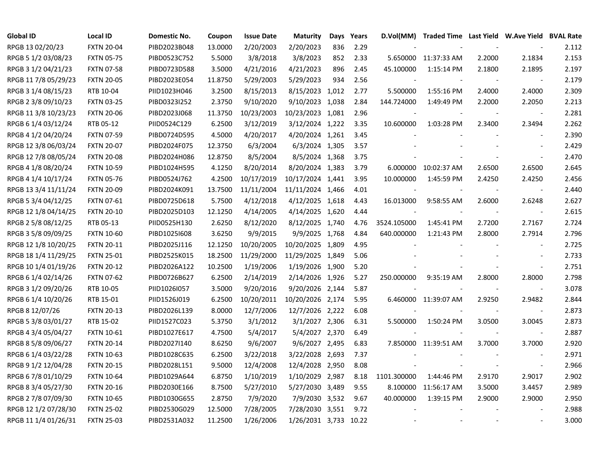| <b>Global ID</b>     | <b>Local ID</b>   | Domestic No. | Coupon  | <b>Issue Date</b> | <b>Maturity</b>       | Days | Years |             | D.Vol(MM) Traded Time Last Yield W.Ave Yield BVAL Rate |        |                          |       |
|----------------------|-------------------|--------------|---------|-------------------|-----------------------|------|-------|-------------|--------------------------------------------------------|--------|--------------------------|-------|
| RPGB 13 02/20/23     | <b>FXTN 20-04</b> | PIBD2023B048 | 13.0000 | 2/20/2003         | 2/20/2023             | 836  | 2.29  |             |                                                        |        |                          | 2.112 |
| RPGB 5 1/2 03/08/23  | <b>FXTN 05-75</b> | PIBD0523C752 | 5.5000  | 3/8/2018          | 3/8/2023              | 852  | 2.33  | 5.650000    | 11:37:33 AM                                            | 2.2000 | 2.1834                   | 2.153 |
| RPGB 3 1/2 04/21/23  | <b>FXTN 07-58</b> | PIBD0723D588 | 3.5000  | 4/21/2016         | 4/21/2023             | 896  | 2.45  | 45.100000   | 1:15:14 PM                                             | 2.1800 | 2.1895                   | 2.197 |
| RPGB 11 7/8 05/29/23 | <b>FXTN 20-05</b> | PIBD2023E054 | 11.8750 | 5/29/2003         | 5/29/2023             | 934  | 2.56  |             |                                                        |        | $\blacksquare$           | 2.179 |
| RPGB 3 1/4 08/15/23  | RTB 10-04         | PIID1023H046 | 3.2500  | 8/15/2013         | 8/15/2023 1,012       |      | 2.77  | 5.500000    | 1:55:16 PM                                             | 2.4000 | 2.4000                   | 2.309 |
| RPGB 2 3/8 09/10/23  | <b>FXTN 03-25</b> | PIBD0323I252 | 2.3750  | 9/10/2020         | 9/10/2023 1,038       |      | 2.84  | 144.724000  | 1:49:49 PM                                             | 2.2000 | 2.2050                   | 2.213 |
| RPGB 11 3/8 10/23/23 | <b>FXTN 20-06</b> | PIBD2023J068 | 11.3750 | 10/23/2003        | 10/23/2023 1,081      |      | 2.96  |             |                                                        |        | $\overline{\phantom{a}}$ | 2.281 |
| RPGB 6 1/4 03/12/24  | RTB 05-12         | PIID0524C129 | 6.2500  | 3/12/2019         | 3/12/2024 1,222       |      | 3.35  | 10.600000   | 1:03:28 PM                                             | 2.3400 | 2.3494                   | 2.262 |
| RPGB 4 1/2 04/20/24  | <b>FXTN 07-59</b> | PIBD0724D595 | 4.5000  | 4/20/2017         | 4/20/2024 1,261       |      | 3.45  |             |                                                        |        | $\sim$                   | 2.390 |
| RPGB 12 3/8 06/03/24 | <b>FXTN 20-07</b> | PIBD2024F075 | 12.3750 | 6/3/2004          | 6/3/2024 1,305        |      | 3.57  |             |                                                        |        |                          | 2.429 |
| RPGB 12 7/8 08/05/24 | <b>FXTN 20-08</b> | PIBD2024H086 | 12.8750 | 8/5/2004          | 8/5/2024 1,368        |      | 3.75  |             |                                                        |        | $\overline{\phantom{a}}$ | 2.470 |
| RPGB 4 1/8 08/20/24  | <b>FXTN 10-59</b> | PIBD1024H595 | 4.1250  | 8/20/2014         | 8/20/2024 1,383       |      | 3.79  |             | 6.000000 10:02:37 AM                                   | 2.6500 | 2.6500                   | 2.645 |
| RPGB 4 1/4 10/17/24  | <b>FXTN 05-76</b> | PIBD0524J762 | 4.2500  | 10/17/2019        | 10/17/2024 1,441      |      | 3.95  | 10.000000   | 1:45:59 PM                                             | 2.4250 | 2.4250                   | 2.456 |
| RPGB 13 3/4 11/11/24 | <b>FXTN 20-09</b> | PIBD2024K091 | 13.7500 | 11/11/2004        | 11/11/2024 1,466      |      | 4.01  |             |                                                        |        | $\blacksquare$           | 2.440 |
| RPGB 5 3/4 04/12/25  | <b>FXTN 07-61</b> | PIBD0725D618 | 5.7500  | 4/12/2018         | 4/12/2025 1,618       |      | 4.43  | 16.013000   | 9:58:55 AM                                             | 2.6000 | 2.6248                   | 2.627 |
| RPGB 12 1/8 04/14/25 | <b>FXTN 20-10</b> | PIBD2025D103 | 12.1250 | 4/14/2005         | 4/14/2025 1,620       |      | 4.44  |             |                                                        |        | $\overline{\phantom{a}}$ | 2.615 |
| RPGB 2 5/8 08/12/25  | RTB 05-13         | PIID0525H130 | 2.6250  | 8/12/2020         | 8/12/2025 1,740       |      | 4.76  | 3524.105000 | 1:45:41 PM                                             | 2.7200 | 2.7167                   | 2.724 |
| RPGB 3 5/8 09/09/25  | <b>FXTN 10-60</b> | PIBD10251608 | 3.6250  | 9/9/2015          | 9/9/2025 1,768        |      | 4.84  | 640.000000  | 1:21:43 PM                                             | 2.8000 | 2.7914                   | 2.796 |
| RPGB 12 1/8 10/20/25 | <b>FXTN 20-11</b> | PIBD2025J116 | 12.1250 | 10/20/2005        | 10/20/2025 1,809      |      | 4.95  |             |                                                        |        | $\blacksquare$           | 2.725 |
| RPGB 18 1/4 11/29/25 | <b>FXTN 25-01</b> | PIBD2525K015 | 18.2500 | 11/29/2000        | 11/29/2025 1,849      |      | 5.06  |             |                                                        |        |                          | 2.733 |
| RPGB 10 1/4 01/19/26 | <b>FXTN 20-12</b> | PIBD2026A122 | 10.2500 | 1/19/2006         | 1/19/2026 1,900       |      | 5.20  |             |                                                        |        | $\blacksquare$           | 2.751 |
| RPGB 6 1/4 02/14/26  | <b>FXTN 07-62</b> | PIBD0726B627 | 6.2500  | 2/14/2019         | 2/14/2026 1,926       |      | 5.27  | 250.000000  | 9:35:19 AM                                             | 2.8000 | 2.8000                   | 2.798 |
| RPGB 3 1/2 09/20/26  | RTB 10-05         | PIID1026I057 | 3.5000  | 9/20/2016         | 9/20/2026 2,144       |      | 5.87  |             |                                                        |        | $\overline{\phantom{a}}$ | 3.078 |
| RPGB 6 1/4 10/20/26  | RTB 15-01         | PIID1526J019 | 6.2500  | 10/20/2011        | 10/20/2026 2,174      |      | 5.95  |             | 6.460000 11:39:07 AM                                   | 2.9250 | 2.9482                   | 2.844 |
| RPGB 8 12/07/26      | <b>FXTN 20-13</b> | PIBD2026L139 | 8.0000  | 12/7/2006         | 12/7/2026 2,222       |      | 6.08  |             |                                                        |        | $\blacksquare$           | 2.873 |
| RPGB 5 3/8 03/01/27  | RTB 15-02         | PIID1527C023 | 5.3750  | 3/1/2012          | 3/1/2027 2,306        |      | 6.31  | 5.500000    | 1:50:24 PM                                             | 3.0500 | 3.0045                   | 2.873 |
| RPGB 4 3/4 05/04/27  | <b>FXTN 10-61</b> | PIBD1027E617 | 4.7500  | 5/4/2017          | 5/4/2027 2,370        |      | 6.49  |             |                                                        |        | $\blacksquare$           | 2.887 |
| RPGB 8 5/8 09/06/27  | <b>FXTN 20-14</b> | PIBD2027I140 | 8.6250  | 9/6/2007          | 9/6/2027 2,495        |      | 6.83  |             | 7.850000 11:39:51 AM                                   | 3.7000 | 3.7000                   | 2.920 |
| RPGB 6 1/4 03/22/28  | <b>FXTN 10-63</b> | PIBD1028C635 | 6.2500  | 3/22/2018         | 3/22/2028 2,693       |      | 7.37  |             |                                                        |        |                          | 2.971 |
| RPGB 9 1/2 12/04/28  | <b>FXTN 20-15</b> | PIBD2028L151 | 9.5000  | 12/4/2008         | 12/4/2028 2,950       |      | 8.08  |             |                                                        |        | $\blacksquare$           | 2.966 |
| RPGB 6 7/8 01/10/29  | <b>FXTN 10-64</b> | PIBD1029A644 | 6.8750  | 1/10/2019         | 1/10/2029 2,987       |      | 8.18  | 1101.300000 | 1:44:46 PM                                             | 2.9170 | 2.9017                   | 2.902 |
| RPGB 8 3/4 05/27/30  | <b>FXTN 20-16</b> | PIBD2030E166 | 8.7500  | 5/27/2010         | 5/27/2030 3,489       |      | 9.55  | 8.100000    | 11:56:17 AM                                            | 3.5000 | 3.4457                   | 2.989 |
| RPGB 2 7/8 07/09/30  | <b>FXTN 10-65</b> | PIBD1030G655 | 2.8750  | 7/9/2020          | 7/9/2030 3,532        |      | 9.67  | 40.000000   | 1:39:15 PM                                             | 2.9000 | 2.9000                   | 2.950 |
| RPGB 12 1/2 07/28/30 | <b>FXTN 25-02</b> | PIBD2530G029 | 12.5000 | 7/28/2005         | 7/28/2030 3,551       |      | 9.72  |             |                                                        |        |                          | 2.988 |
| RPGB 11 1/4 01/26/31 | <b>FXTN 25-03</b> | PIBD2531A032 | 11.2500 | 1/26/2006         | 1/26/2031 3,733 10.22 |      |       |             |                                                        |        |                          | 3.000 |